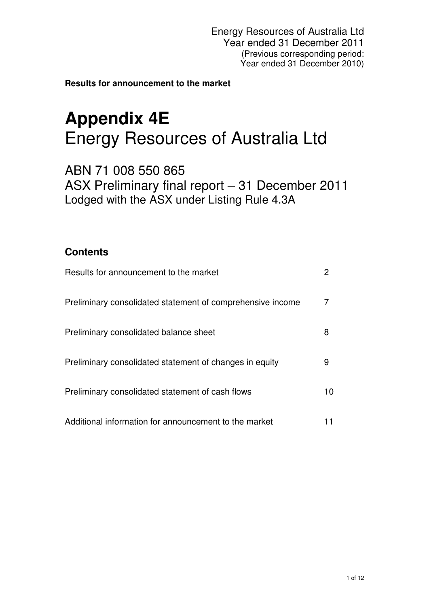Energy Resources of Australia Ltd Year ended 31 December 2011 (Previous corresponding period: Year ended 31 December 2010)

**Results for announcement to the market**

# **Appendix 4E**  Energy Resources of Australia Ltd

ABN 71 008 550 865 ASX Preliminary final report – 31 December 2011 Lodged with the ASX under Listing Rule 4.3A

# **Contents**

| Results for announcement to the market                     |    |
|------------------------------------------------------------|----|
| Preliminary consolidated statement of comprehensive income |    |
| Preliminary consolidated balance sheet                     | 8  |
| Preliminary consolidated statement of changes in equity    | 9  |
| Preliminary consolidated statement of cash flows           | 10 |
| Additional information for announcement to the market      |    |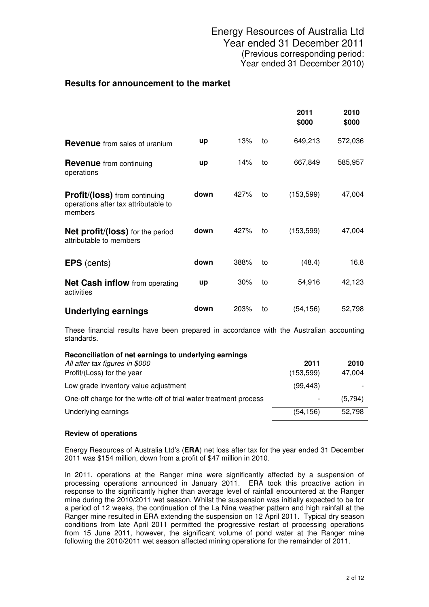|                                                                                  |           |      |    | 2011<br>\$000 | 2010<br>\$000 |
|----------------------------------------------------------------------------------|-----------|------|----|---------------|---------------|
| <b>Revenue</b> from sales of uranium                                             | up        | 13%  | to | 649,213       | 572,036       |
| <b>Revenue</b> from continuing<br>operations                                     | <b>up</b> | 14%  | to | 667,849       | 585,957       |
| Profit/(loss) from continuing<br>operations after tax attributable to<br>members | down      | 427% | to | (153, 599)    | 47,004        |
| <b>Net profit/(loss)</b> for the period<br>attributable to members               | down      | 427% | to | (153, 599)    | 47,004        |
| <b>EPS</b> (cents)                                                               | down      | 388% | to | (48.4)        | 16.8          |
| <b>Net Cash inflow</b> from operating<br>activities                              | up        | 30%  | to | 54,916        | 42,123        |
| Underlying earnings                                                              | down      | 203% | to | (54, 156)     | 52,798        |

These financial results have been prepared in accordance with the Australian accounting standards.

| Reconciliation of net earnings to underlying earnings             |            |         |
|-------------------------------------------------------------------|------------|---------|
| All after tax figures in \$000                                    | 2011       | 2010    |
| Profit/(Loss) for the year                                        | (153, 599) | 47,004  |
| Low grade inventory value adjustment                              | (99, 443)  |         |
| One-off charge for the write-off of trial water treatment process | -          | (5.794) |
| Underlying earnings                                               | (54, 156)  | 52,798  |

## **Review of operations**

Energy Resources of Australia Ltd's (**ERA**) net loss after tax for the year ended 31 December 2011 was \$154 million, down from a profit of \$47 million in 2010.

In 2011, operations at the Ranger mine were significantly affected by a suspension of processing operations announced in January 2011. ERA took this proactive action in response to the significantly higher than average level of rainfall encountered at the Ranger mine during the 2010/2011 wet season. Whilst the suspension was initially expected to be for a period of 12 weeks, the continuation of the La Nina weather pattern and high rainfall at the Ranger mine resulted in ERA extending the suspension on 12 April 2011. Typical dry season conditions from late April 2011 permitted the progressive restart of processing operations from 15 June 2011, however, the significant volume of pond water at the Ranger mine following the 2010/2011 wet season affected mining operations for the remainder of 2011.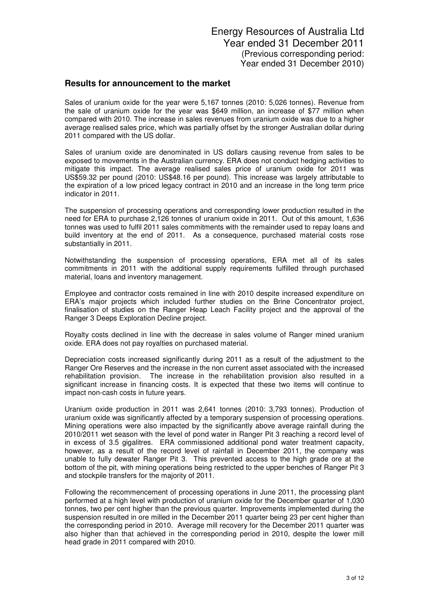Sales of uranium oxide for the year were 5,167 tonnes (2010: 5,026 tonnes). Revenue from the sale of uranium oxide for the year was \$649 million, an increase of \$77 million when compared with 2010. The increase in sales revenues from uranium oxide was due to a higher average realised sales price, which was partially offset by the stronger Australian dollar during 2011 compared with the US dollar.

Sales of uranium oxide are denominated in US dollars causing revenue from sales to be exposed to movements in the Australian currency. ERA does not conduct hedging activities to mitigate this impact. The average realised sales price of uranium oxide for 2011 was US\$59.32 per pound (2010: US\$48.16 per pound). This increase was largely attributable to the expiration of a low priced legacy contract in 2010 and an increase in the long term price indicator in 2011.

The suspension of processing operations and corresponding lower production resulted in the need for ERA to purchase 2,126 tonnes of uranium oxide in 2011. Out of this amount, 1,636 tonnes was used to fulfil 2011 sales commitments with the remainder used to repay loans and build inventory at the end of 2011. As a consequence, purchased material costs rose substantially in 2011.

Notwithstanding the suspension of processing operations, ERA met all of its sales commitments in 2011 with the additional supply requirements fulfilled through purchased material, loans and inventory management.

Employee and contractor costs remained in line with 2010 despite increased expenditure on ERA's major projects which included further studies on the Brine Concentrator project, finalisation of studies on the Ranger Heap Leach Facility project and the approval of the Ranger 3 Deeps Exploration Decline project.

Royalty costs declined in line with the decrease in sales volume of Ranger mined uranium oxide. ERA does not pay royalties on purchased material.

Depreciation costs increased significantly during 2011 as a result of the adjustment to the Ranger Ore Reserves and the increase in the non current asset associated with the increased rehabilitation provision. The increase in the rehabilitation provision also resulted in a significant increase in financing costs. It is expected that these two items will continue to impact non-cash costs in future years.

Uranium oxide production in 2011 was 2,641 tonnes (2010: 3,793 tonnes). Production of uranium oxide was significantly affected by a temporary suspension of processing operations. Mining operations were also impacted by the significantly above average rainfall during the 2010/2011 wet season with the level of pond water in Ranger Pit 3 reaching a record level of in excess of 3.5 gigalitres. ERA commissioned additional pond water treatment capacity, however, as a result of the record level of rainfall in December 2011, the company was unable to fully dewater Ranger Pit 3. This prevented access to the high grade ore at the bottom of the pit, with mining operations being restricted to the upper benches of Ranger Pit 3 and stockpile transfers for the majority of 2011.

Following the recommencement of processing operations in June 2011, the processing plant performed at a high level with production of uranium oxide for the December quarter of 1,030 tonnes, two per cent higher than the previous quarter. Improvements implemented during the suspension resulted in ore milled in the December 2011 quarter being 23 per cent higher than the corresponding period in 2010. Average mill recovery for the December 2011 quarter was also higher than that achieved in the corresponding period in 2010, despite the lower mill head grade in 2011 compared with 2010.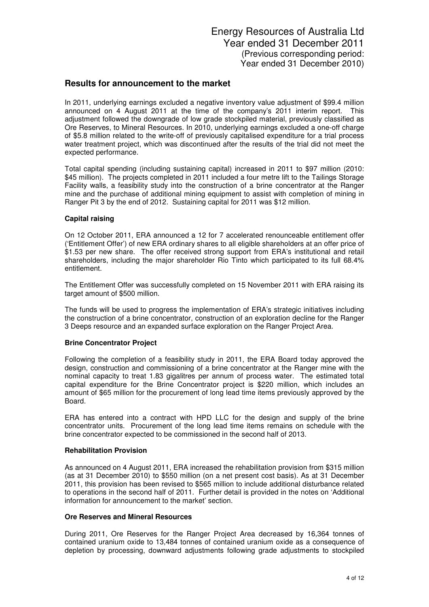In 2011, underlying earnings excluded a negative inventory value adjustment of \$99.4 million announced on 4 August 2011 at the time of the company's 2011 interim report. This adjustment followed the downgrade of low grade stockpiled material, previously classified as Ore Reserves, to Mineral Resources. In 2010, underlying earnings excluded a one-off charge of \$5.8 million related to the write-off of previously capitalised expenditure for a trial process water treatment project, which was discontinued after the results of the trial did not meet the expected performance.

Total capital spending (including sustaining capital) increased in 2011 to \$97 million (2010: \$45 million). The projects completed in 2011 included a four metre lift to the Tailings Storage Facility walls, a feasibility study into the construction of a brine concentrator at the Ranger mine and the purchase of additional mining equipment to assist with completion of mining in Ranger Pit 3 by the end of 2012. Sustaining capital for 2011 was \$12 million.

#### **Capital raising**

On 12 October 2011, ERA announced a 12 for 7 accelerated renounceable entitlement offer ('Entitlement Offer') of new ERA ordinary shares to all eligible shareholders at an offer price of \$1.53 per new share. The offer received strong support from ERA's institutional and retail shareholders, including the major shareholder Rio Tinto which participated to its full 68.4% entitlement.

The Entitlement Offer was successfully completed on 15 November 2011 with ERA raising its target amount of \$500 million.

The funds will be used to progress the implementation of ERA's strategic initiatives including the construction of a brine concentrator, construction of an exploration decline for the Ranger 3 Deeps resource and an expanded surface exploration on the Ranger Project Area.

#### **Brine Concentrator Project**

Following the completion of a feasibility study in 2011, the ERA Board today approved the design, construction and commissioning of a brine concentrator at the Ranger mine with the nominal capacity to treat 1.83 gigalitres per annum of process water. The estimated total capital expenditure for the Brine Concentrator project is \$220 million, which includes an amount of \$65 million for the procurement of long lead time items previously approved by the Board.

ERA has entered into a contract with HPD LLC for the design and supply of the brine concentrator units. Procurement of the long lead time items remains on schedule with the brine concentrator expected to be commissioned in the second half of 2013.

#### **Rehabilitation Provision**

As announced on 4 August 2011, ERA increased the rehabilitation provision from \$315 million (as at 31 December 2010) to \$550 million (on a net present cost basis). As at 31 December 2011, this provision has been revised to \$565 million to include additional disturbance related to operations in the second half of 2011. Further detail is provided in the notes on 'Additional information for announcement to the market' section.

#### **Ore Reserves and Mineral Resources**

During 2011, Ore Reserves for the Ranger Project Area decreased by 16,364 tonnes of contained uranium oxide to 13,484 tonnes of contained uranium oxide as a consequence of depletion by processing, downward adjustments following grade adjustments to stockpiled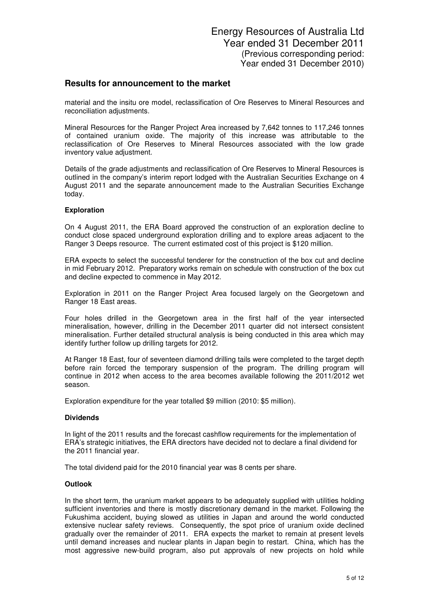material and the insitu ore model, reclassification of Ore Reserves to Mineral Resources and reconciliation adjustments.

Mineral Resources for the Ranger Project Area increased by 7,642 tonnes to 117,246 tonnes of contained uranium oxide. The majority of this increase was attributable to the reclassification of Ore Reserves to Mineral Resources associated with the low grade inventory value adjustment.

Details of the grade adjustments and reclassification of Ore Reserves to Mineral Resources is outlined in the company's interim report lodged with the Australian Securities Exchange on 4 August 2011 and the separate announcement made to the Australian Securities Exchange today.

#### **Exploration**

On 4 August 2011, the ERA Board approved the construction of an exploration decline to conduct close spaced underground exploration drilling and to explore areas adjacent to the Ranger 3 Deeps resource. The current estimated cost of this project is \$120 million.

ERA expects to select the successful tenderer for the construction of the box cut and decline in mid February 2012. Preparatory works remain on schedule with construction of the box cut and decline expected to commence in May 2012.

Exploration in 2011 on the Ranger Project Area focused largely on the Georgetown and Ranger 18 East areas.

Four holes drilled in the Georgetown area in the first half of the year intersected mineralisation, however, drilling in the December 2011 quarter did not intersect consistent mineralisation. Further detailed structural analysis is being conducted in this area which may identify further follow up drilling targets for 2012.

At Ranger 18 East, four of seventeen diamond drilling tails were completed to the target depth before rain forced the temporary suspension of the program. The drilling program will continue in 2012 when access to the area becomes available following the 2011/2012 wet season.

Exploration expenditure for the year totalled \$9 million (2010: \$5 million).

#### **Dividends**

In light of the 2011 results and the forecast cashflow requirements for the implementation of ERA's strategic initiatives, the ERA directors have decided not to declare a final dividend for the 2011 financial year.

The total dividend paid for the 2010 financial year was 8 cents per share.

#### **Outlook**

In the short term, the uranium market appears to be adequately supplied with utilities holding sufficient inventories and there is mostly discretionary demand in the market. Following the Fukushima accident, buying slowed as utilities in Japan and around the world conducted extensive nuclear safety reviews. Consequently, the spot price of uranium oxide declined gradually over the remainder of 2011. ERA expects the market to remain at present levels until demand increases and nuclear plants in Japan begin to restart. China, which has the most aggressive new-build program, also put approvals of new projects on hold while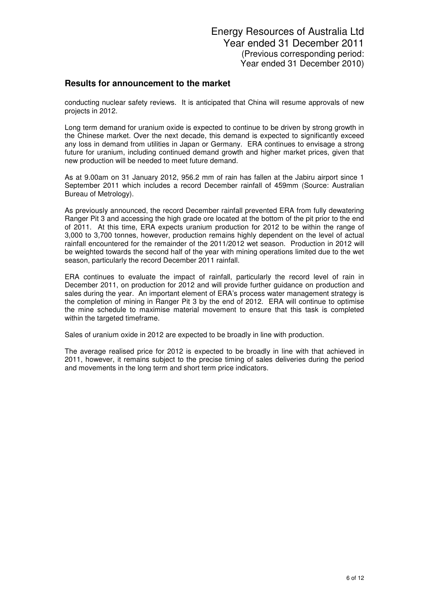conducting nuclear safety reviews. It is anticipated that China will resume approvals of new projects in 2012.

Long term demand for uranium oxide is expected to continue to be driven by strong growth in the Chinese market. Over the next decade, this demand is expected to significantly exceed any loss in demand from utilities in Japan or Germany. ERA continues to envisage a strong future for uranium, including continued demand growth and higher market prices, given that new production will be needed to meet future demand.

As at 9.00am on 31 January 2012, 956.2 mm of rain has fallen at the Jabiru airport since 1 September 2011 which includes a record December rainfall of 459mm (Source: Australian Bureau of Metrology).

As previously announced, the record December rainfall prevented ERA from fully dewatering Ranger Pit 3 and accessing the high grade ore located at the bottom of the pit prior to the end of 2011. At this time, ERA expects uranium production for 2012 to be within the range of 3,000 to 3,700 tonnes, however, production remains highly dependent on the level of actual rainfall encountered for the remainder of the 2011/2012 wet season. Production in 2012 will be weighted towards the second half of the year with mining operations limited due to the wet season, particularly the record December 2011 rainfall.

ERA continues to evaluate the impact of rainfall, particularly the record level of rain in December 2011, on production for 2012 and will provide further guidance on production and sales during the year. An important element of ERA's process water management strategy is the completion of mining in Ranger Pit 3 by the end of 2012. ERA will continue to optimise the mine schedule to maximise material movement to ensure that this task is completed within the targeted timeframe.

Sales of uranium oxide in 2012 are expected to be broadly in line with production.

The average realised price for 2012 is expected to be broadly in line with that achieved in 2011, however, it remains subject to the precise timing of sales deliveries during the period and movements in the long term and short term price indicators.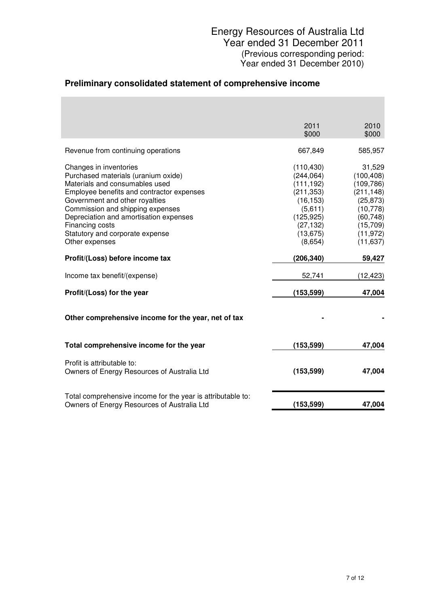# **Preliminary consolidated statement of comprehensive income**

|                                                                                                                                                                                                                                                                                                                                      | 2011<br>\$000                                                                                                                   | 2010<br>\$000                                                                                                                 |
|--------------------------------------------------------------------------------------------------------------------------------------------------------------------------------------------------------------------------------------------------------------------------------------------------------------------------------------|---------------------------------------------------------------------------------------------------------------------------------|-------------------------------------------------------------------------------------------------------------------------------|
| Revenue from continuing operations                                                                                                                                                                                                                                                                                                   | 667,849                                                                                                                         | 585,957                                                                                                                       |
| Changes in inventories<br>Purchased materials (uranium oxide)<br>Materials and consumables used<br>Employee benefits and contractor expenses<br>Government and other royalties<br>Commission and shipping expenses<br>Depreciation and amortisation expenses<br>Financing costs<br>Statutory and corporate expense<br>Other expenses | (110, 430)<br>(244, 064)<br>(111, 192)<br>(211, 353)<br>(16, 153)<br>(5,611)<br>(125, 925)<br>(27, 132)<br>(13, 675)<br>(8,654) | 31,529<br>(100, 408)<br>(109, 786)<br>(211, 148)<br>(25, 873)<br>(10, 778)<br>(60, 748)<br>(15,709)<br>(11, 972)<br>(11, 637) |
| Profit/(Loss) before income tax                                                                                                                                                                                                                                                                                                      | (206, 340)                                                                                                                      | 59,427                                                                                                                        |
| Income tax benefit/(expense)                                                                                                                                                                                                                                                                                                         | 52,741                                                                                                                          | (12, 423)                                                                                                                     |
| Profit/(Loss) for the year                                                                                                                                                                                                                                                                                                           | (153, 599)                                                                                                                      | 47,004                                                                                                                        |
| Other comprehensive income for the year, net of tax                                                                                                                                                                                                                                                                                  |                                                                                                                                 |                                                                                                                               |
| Total comprehensive income for the year                                                                                                                                                                                                                                                                                              | (153, 599)                                                                                                                      | 47,004                                                                                                                        |
| Profit is attributable to:<br>Owners of Energy Resources of Australia Ltd                                                                                                                                                                                                                                                            | (153, 599)                                                                                                                      | 47,004                                                                                                                        |
| Total comprehensive income for the year is attributable to:<br>Owners of Energy Resources of Australia Ltd                                                                                                                                                                                                                           | (153, 599)                                                                                                                      | 47,004                                                                                                                        |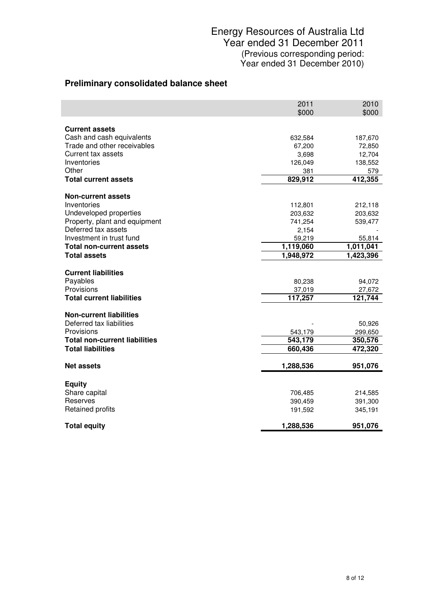# Energy Resources of Australia Ltd Year ended 31 December 2011 (Previous corresponding period: Year ended 31 December 2010)

# **Preliminary consolidated balance sheet**

|                                                            | 2011<br>\$000 | 2010<br>\$000     |
|------------------------------------------------------------|---------------|-------------------|
| <b>Current assets</b>                                      |               |                   |
| Cash and cash equivalents                                  | 632,584       | 187,670           |
| Trade and other receivables                                | 67,200        | 72,850            |
| Current tax assets                                         | 3,698         | 12,704            |
| Inventories                                                | 126,049       | 138,552           |
| Other                                                      | 381           | 579               |
| <b>Total current assets</b>                                | 829,912       | 412,355           |
| <b>Non-current assets</b>                                  |               |                   |
| Inventories                                                | 112,801       | 212,118           |
| Undeveloped properties                                     | 203,632       | 203,632           |
| Property, plant and equipment                              | 741,254       | 539,477           |
| Deferred tax assets                                        | 2,154         |                   |
| Investment in trust fund                                   | 59,219        | 55,814            |
| <b>Total non-current assets</b>                            | 1,119,060     | 1,011,041         |
| <b>Total assets</b>                                        | 1,948,972     | 1,423,396         |
| <b>Current liabilities</b>                                 |               |                   |
| Payables                                                   | 80,238        | 94,072            |
| Provisions                                                 | 37,019        | 27,672            |
| <b>Total current liabilities</b>                           | 117,257       | 121,744           |
|                                                            |               |                   |
| <b>Non-current liabilities</b><br>Deferred tax liabilities |               |                   |
| Provisions                                                 | 543,179       | 50,926<br>299,650 |
| <b>Total non-current liabilities</b>                       | 543,179       | 350,576           |
| <b>Total liabilities</b>                                   | 660,436       | 472,320           |
|                                                            |               |                   |
| <b>Net assets</b>                                          | 1,288,536     | 951,076           |
| <b>Equity</b>                                              |               |                   |
| Share capital                                              | 706,485       | 214,585           |
| Reserves                                                   | 390,459       | 391,300           |
| Retained profits                                           | 191,592       | 345,191           |
| <b>Total equity</b>                                        | 1,288,536     | 951,076           |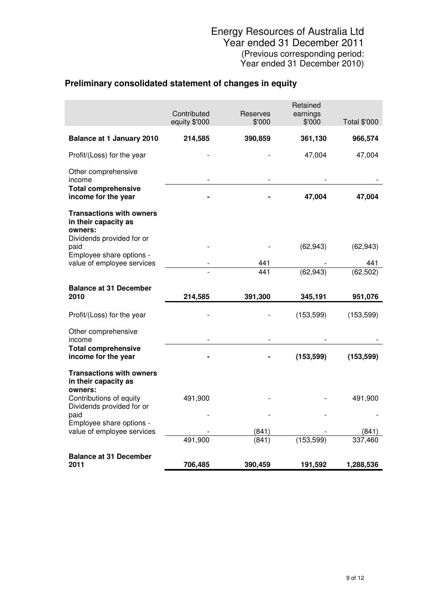# **Preliminary consolidated statement of changes in equity**

|                                                                    | Contributed<br>equity \$'000 | Reserves<br>\$'000 | Retained<br>earnings<br>\$'000 | <b>Total \$'000</b> |
|--------------------------------------------------------------------|------------------------------|--------------------|--------------------------------|---------------------|
| <b>Balance at 1 January 2010</b>                                   | 214,585                      | 390,859            | 361,130                        | 966,574             |
| Profit/(Loss) for the year                                         |                              |                    | 47,004                         | 47,004              |
| Other comprehensive<br>income                                      |                              |                    |                                |                     |
| <b>Total comprehensive</b><br>income for the year                  |                              |                    | 47,004                         | 47,004              |
| <b>Transactions with owners</b><br>in their capacity as<br>owners: |                              |                    |                                |                     |
| Dividends provided for or<br>paid<br>Employee share options -      |                              |                    | (62, 943)                      | (62, 943)           |
| value of employee services                                         |                              | 441                |                                | 441                 |
|                                                                    |                              | 441                | (62, 943)                      | (62, 502)           |
| <b>Balance at 31 December</b><br>2010                              | 214,585                      | 391,300            | 345,191                        | 951,076             |
| Profit/(Loss) for the year                                         |                              |                    | (153, 599)                     | (153, 599)          |
| Other comprehensive<br>income                                      |                              |                    |                                |                     |
| <b>Total comprehensive</b><br>income for the year                  |                              |                    | (153, 599)                     | (153, 599)          |
| <b>Transactions with owners</b><br>in their capacity as<br>owners: |                              |                    |                                |                     |
| Contributions of equity<br>Dividends provided for or               | 491,900                      |                    |                                | 491,900             |
| paid<br>Employee share options -                                   |                              |                    |                                |                     |
| value of employee services                                         |                              | (841)              |                                | (841)               |
|                                                                    | 491,900                      | (841)              | (153, 599)                     | 337,460             |
| <b>Balance at 31 December</b>                                      |                              |                    |                                |                     |
| 2011                                                               | 706,485                      | 390,459            | 191,592                        | 1,288,536           |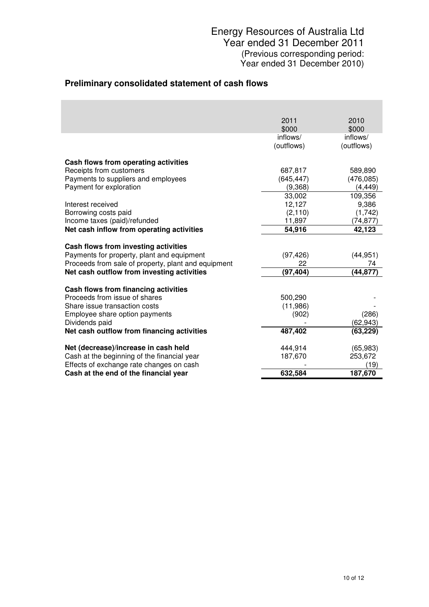# Energy Resources of Australia Ltd Year ended 31 December 2011 (Previous corresponding period: Year ended 31 December 2010)

## **Preliminary consolidated statement of cash flows**

|                                                                       | 2011                | 2010       |
|-----------------------------------------------------------------------|---------------------|------------|
|                                                                       | \$000               | \$000      |
|                                                                       | inflows/            | inflows/   |
|                                                                       | (outflows)          | (outflows) |
| Cash flows from operating activities                                  |                     |            |
| Receipts from customers                                               | 687,817             | 589,890    |
| Payments to suppliers and employees                                   | (645, 447)          | (476, 085) |
| Payment for exploration                                               | (9,368)             | (4, 449)   |
|                                                                       | 33,002              | 109,356    |
| Interest received                                                     | 12,127              | 9,386      |
| Borrowing costs paid                                                  | (2, 110)            | (1,742)    |
| Income taxes (paid)/refunded                                          | 11,897              | (74, 877)  |
| Net cash inflow from operating activities                             | 54,916              | 42,123     |
| Cash flows from investing activities                                  |                     |            |
| Payments for property, plant and equipment                            | (97, 426)           | (44, 951)  |
| Proceeds from sale of property, plant and equipment                   | 22                  | 74         |
| Net cash outflow from investing activities                            | (97, 404)           | (44,877)   |
|                                                                       |                     |            |
| Cash flows from financing activities<br>Proceeds from issue of shares |                     |            |
| Share issue transaction costs                                         | 500,290<br>(11,986) |            |
| Employee share option payments                                        | (902)               | (286)      |
| Dividends paid                                                        |                     | (62, 943)  |
| Net cash outflow from financing activities                            | 487,402             | (63, 229)  |
|                                                                       |                     |            |
| Net (decrease)/increase in cash held                                  | 444,914             | (65, 983)  |
| Cash at the beginning of the financial year                           | 187,670             | 253,672    |
| Effects of exchange rate changes on cash                              |                     | (19)       |
| Cash at the end of the financial year                                 | 632,584             | 187,670    |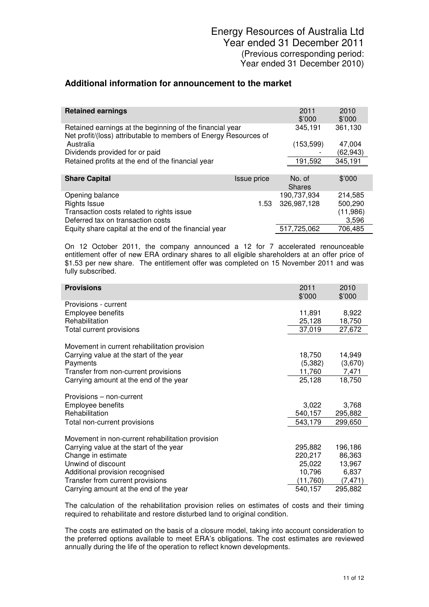## **Additional information for announcement to the market**

| <b>Retained earnings</b>                                                                                                     |             | 2011<br>\$'000          | 2010<br>\$'000 |
|------------------------------------------------------------------------------------------------------------------------------|-------------|-------------------------|----------------|
| Retained earnings at the beginning of the financial year<br>Net profit/(loss) attributable to members of Energy Resources of |             | 345,191                 | 361,130        |
| Australia                                                                                                                    |             | (153, 599)              | 47,004         |
| Dividends provided for or paid                                                                                               |             |                         | (62, 943)      |
| Retained profits at the end of the financial year                                                                            |             | 191,592                 | 345,191        |
|                                                                                                                              |             |                         |                |
| <b>Share Capital</b>                                                                                                         | Issue price | No. of<br><b>Shares</b> | \$'000         |
| Opening balance                                                                                                              |             | 190,737,934             | 214,585        |
| <b>Rights Issue</b>                                                                                                          | 1.53        | 326,987,128             | 500,290        |
| Transaction costs related to rights issue                                                                                    |             |                         | (11,986)       |
| Deferred tax on transaction costs                                                                                            |             |                         | 3,596          |
| Equity share capital at the end of the financial year                                                                        |             | 517,725,062             | 706,485        |

On 12 October 2011, the company announced a 12 for 7 accelerated renounceable entitlement offer of new ERA ordinary shares to all eligible shareholders at an offer price of \$1.53 per new share. The entitlement offer was completed on 15 November 2011 and was fully subscribed.

| <b>Provisions</b>                                | 2011<br>\$'000 | 2010<br>\$'000 |
|--------------------------------------------------|----------------|----------------|
| Provisions - current                             |                |                |
| Employee benefits                                | 11,891         | 8,922          |
| Rehabilitation                                   | 25,128         | 18,750         |
| Total current provisions                         | 37,019         | 27,672         |
| Movement in current rehabilitation provision     |                |                |
| Carrying value at the start of the year          | 18,750         | 14,949         |
| Payments                                         | (5,382)        | (3,670)        |
| Transfer from non-current provisions             | 11,760         | 7,471          |
| Carrying amount at the end of the year           | 25,128         | 18,750         |
| Provisions – non-current                         |                |                |
| Employee benefits                                | 3,022          | 3,768          |
| Rehabilitation                                   | 540,157        | 295,882        |
| Total non-current provisions                     | 543,179        | 299,650        |
| Movement in non-current rehabilitation provision |                |                |
| Carrying value at the start of the year          | 295,882        | 196,186        |
| Change in estimate                               | 220,217        | 86,363         |
| Unwind of discount                               | 25,022         | 13,967         |
| Additional provision recognised                  | 10,796         | 6,837          |
| Transfer from current provisions                 | (11,760)       | (7, 471)       |
| Carrying amount at the end of the year           | 540,157        | 295,882        |

The calculation of the rehabilitation provision relies on estimates of costs and their timing required to rehabilitate and restore disturbed land to original condition.

The costs are estimated on the basis of a closure model, taking into account consideration to the preferred options available to meet ERA's obligations. The cost estimates are reviewed annually during the life of the operation to reflect known developments.